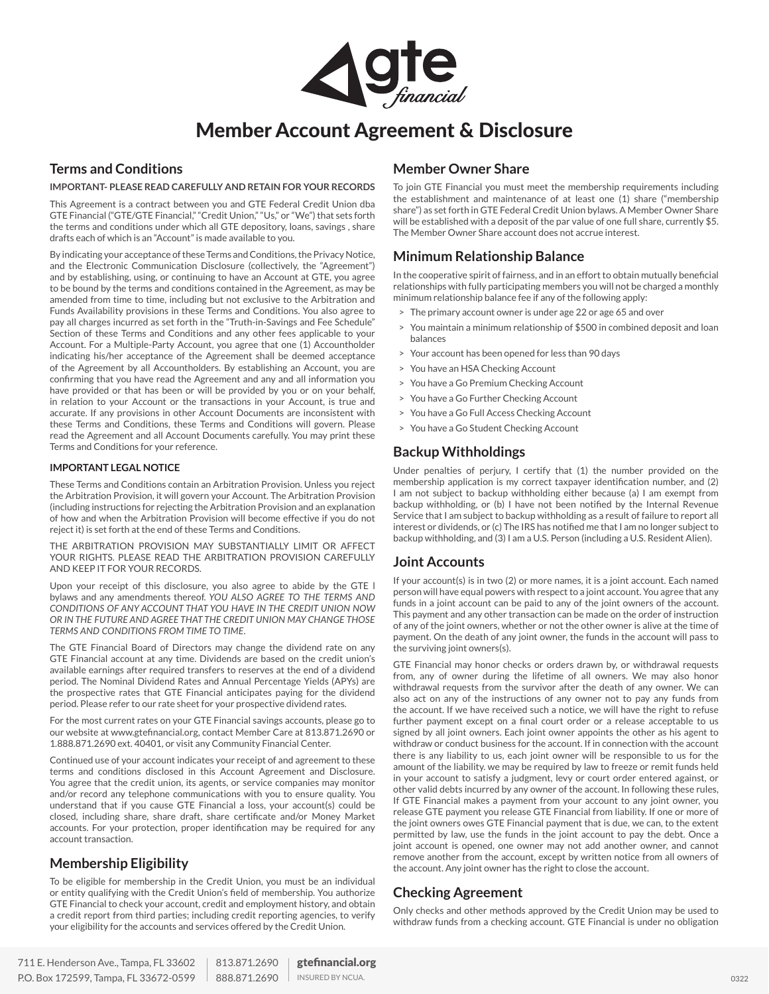

# Member Account Agreement & Disclosure

## **Terms and Conditions**

#### **IMPORTANT- PLEASE READ CAREFULLY AND RETAIN FOR YOUR RECORDS**

This Agreement is a contract between you and GTE Federal Credit Union dba GTE Financial ("GTE/GTE Financial," "Credit Union," "Us," or "We") that sets forth the terms and conditions under which all GTE depository, loans, savings , share drafts each of which is an "Account" is made available to you.

By indicating your acceptance of these Terms and Conditions, the Privacy Notice, and the Electronic Communication Disclosure (collectively, the "Agreement") and by establishing, using, or continuing to have an Account at GTE, you agree to be bound by the terms and conditions contained in the Agreement, as may be amended from time to time, including but not exclusive to the Arbitration and Funds Availability provisions in these Terms and Conditions. You also agree to pay all charges incurred as set forth in the "Truth-in-Savings and Fee Schedule" Section of these Terms and Conditions and any other fees applicable to your Account. For a Multiple-Party Account, you agree that one (1) Accountholder indicating his/her acceptance of the Agreement shall be deemed acceptance of the Agreement by all Accountholders. By establishing an Account, you are confirming that you have read the Agreement and any and all information you have provided or that has been or will be provided by you or on your behalf, in relation to your Account or the transactions in your Account, is true and accurate. If any provisions in other Account Documents are inconsistent with these Terms and Conditions, these Terms and Conditions will govern. Please read the Agreement and all Account Documents carefully. You may print these Terms and Conditions for your reference.

#### **IMPORTANT LEGAL NOTICE**

These Terms and Conditions contain an Arbitration Provision. Unless you reject the Arbitration Provision, it will govern your Account. The Arbitration Provision (including instructions for rejecting the Arbitration Provision and an explanation of how and when the Arbitration Provision will become effective if you do not reject it) is set forth at the end of these Terms and Conditions.

THE ARBITRATION PROVISION MAY SUBSTANTIALLY LIMIT OR AFFECT YOUR RIGHTS. PLEASE READ THE ARBITRATION PROVISION CAREFULLY AND KEEP IT FOR YOUR RECORDS.

Upon your receipt of this disclosure, you also agree to abide by the GTE l bylaws and any amendments thereof. *YOU ALSO AGREE TO THE TERMS AND CONDITIONS OF ANY ACCOUNT THAT YOU HAVE IN THE CREDIT UNION NOW OR IN THE FUTURE AND AGREE THAT THE CREDIT UNION MAY CHANGE THOSE TERMS AND CONDITIONS FROM TIME TO TIME*.

The GTE Financial Board of Directors may change the dividend rate on any GTE Financial account at any time. Dividends are based on the credit union's available earnings after required transfers to reserves at the end of a dividend period. The Nominal Dividend Rates and Annual Percentage Yields (APYs) are the prospective rates that GTE Financial anticipates paying for the dividend period. Please refer to our rate sheet for your prospective dividend rates.

For the most current rates on your GTE Financial savings accounts, please go to our website at www.gtefinancial.org, contact Member Care at 813.871.2690 or 1.888.871.2690 ext. 40401, or visit any Community Financial Center.

Continued use of your account indicates your receipt of and agreement to these terms and conditions disclosed in this Account Agreement and Disclosure. You agree that the credit union, its agents, or service companies may monitor and/or record any telephone communications with you to ensure quality. You understand that if you cause GTE Financial a loss, your account(s) could be closed, including share, share draft, share certificate and/or Money Market accounts. For your protection, proper identification may be required for any account transaction.

## **Membership Eligibility**

To be eligible for membership in the Credit Union, you must be an individual or entity qualifying with the Credit Union's field of membership. You authorize GTE Financial to check your account, credit and employment history, and obtain a credit report from third parties; including credit reporting agencies, to verify your eligibility for the accounts and services offered by the Credit Union.

To join GTE Financial you must meet the membership requirements including the establishment and maintenance of at least one (1) share ("membership share") as set forth in GTE Federal Credit Union bylaws. A Member Owner Share will be established with a deposit of the par value of one full share, currently \$5. The Member Owner Share account does not accrue interest.

## **Minimum Relationship Balance**

**Member Owner Share**

In the cooperative spirit of fairness, and in an effort to obtain mutually beneficial relationships with fully participating members you will not be charged a monthly minimum relationship balance fee if any of the following apply:

- > The primary account owner is under age 22 or age 65 and over
- > You maintain a minimum relationship of \$500 in combined deposit and loan balances
- > Your account has been opened for less than 90 days
- > You have an HSA Checking Account
- > You have a Go Premium Checking Account
- > You have a Go Further Checking Account
- > You have a Go Full Access Checking Account
- > You have a Go Student Checking Account

## **Backup Withholdings**

Under penalties of perjury, I certify that (1) the number provided on the membership application is my correct taxpayer identification number, and (2) I am not subject to backup withholding either because (a) I am exempt from backup withholding, or (b) I have not been notified by the Internal Revenue Service that I am subject to backup withholding as a result of failure to report all interest or dividends, or (c) The IRS has notified me that I am no longer subject to backup withholding, and (3) I am a U.S. Person (including a U.S. Resident Alien).

## **Joint Accounts**

If your account(s) is in two (2) or more names, it is a joint account. Each named person will have equal powers with respect to a joint account. You agree that any funds in a joint account can be paid to any of the joint owners of the account. This payment and any other transaction can be made on the order of instruction of any of the joint owners, whether or not the other owner is alive at the time of payment. On the death of any joint owner, the funds in the account will pass to the surviving joint owners(s).

GTE Financial may honor checks or orders drawn by, or withdrawal requests from, any of owner during the lifetime of all owners. We may also honor withdrawal requests from the survivor after the death of any owner. We can also act on any of the instructions of any owner not to pay any funds from the account. If we have received such a notice, we will have the right to refuse further payment except on a final court order or a release acceptable to us signed by all joint owners. Each joint owner appoints the other as his agent to withdraw or conduct business for the account. If in connection with the account there is any liability to us, each joint owner will be responsible to us for the amount of the liability. we may be required by law to freeze or remit funds held in your account to satisfy a judgment, levy or court order entered against, or other valid debts incurred by any owner of the account. In following these rules, If GTE Financial makes a payment from your account to any joint owner, you release GTE payment you release GTE Financial from liability. If one or more of the joint owners owes GTE Financial payment that is due, we can, to the extent permitted by law, use the funds in the joint account to pay the debt. Once a joint account is opened, one owner may not add another owner, and cannot remove another from the account, except by written notice from all owners of the account. Any joint owner has the right to close the account.

## **Checking Agreement**

Only checks and other methods approved by the Credit Union may be used to withdraw funds from a checking account. GTE Financial is under no obligation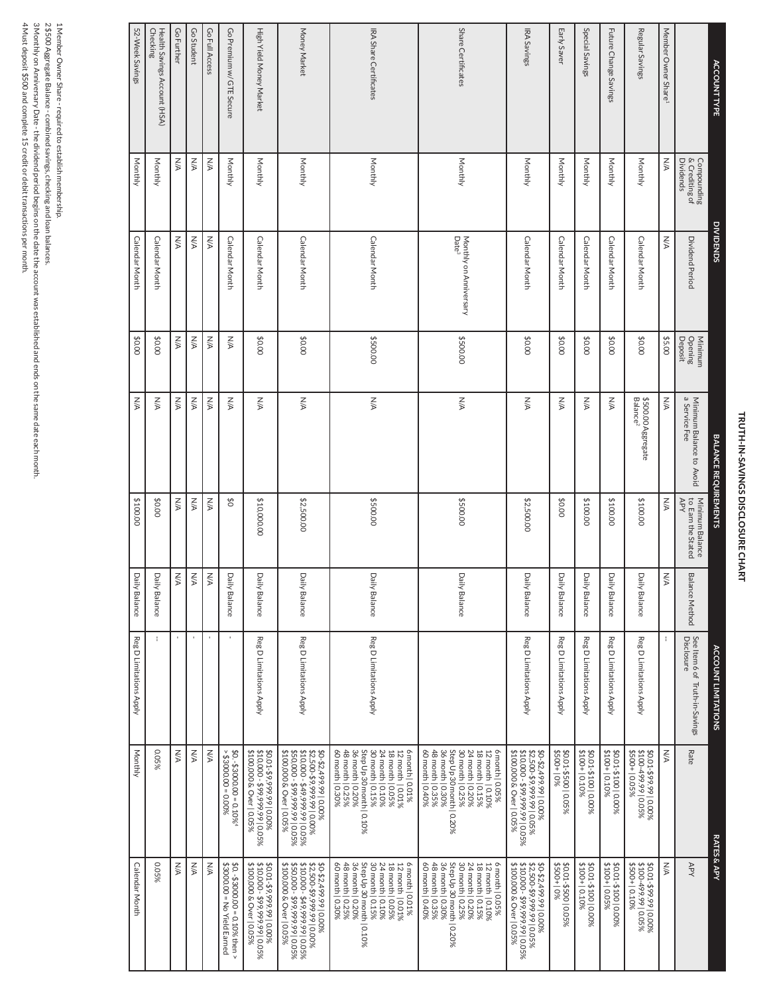# TRUTH-IN-SAVINGS DISCLOSURE CHART TRUTH-IN-SAVINGS DISCLOSURE CHART

| <b>ACCOUNTTYPE</b>                       |                                                   | <b>DIVIDENDS</b>                            |                               | <b>BALANCE REQUIREMENTS</b>                |                                              |                    | <b>ACCOUNT LIMITATIONS</b>                                   | <b>RATES &amp; APY</b>                                                                                                                                                                  |                                                                                                                                                                                         |
|------------------------------------------|---------------------------------------------------|---------------------------------------------|-------------------------------|--------------------------------------------|----------------------------------------------|--------------------|--------------------------------------------------------------|-----------------------------------------------------------------------------------------------------------------------------------------------------------------------------------------|-----------------------------------------------------------------------------------------------------------------------------------------------------------------------------------------|
|                                          | Compounding<br>& Crediting of<br><b>Dividends</b> | Dividend Period                             | Deposit<br>Opening<br>Minimum | Minimum Balance to Avoid<br>a Service Fee  | Minimum Balance<br>to Earn the Stated<br>AdA | Bal<br>ance Method | See Item 6 of <sup>-</sup><br>Disclosure<br>Truth-in-Savings | Rate                                                                                                                                                                                    | APY                                                                                                                                                                                     |
| Member Owner Share <sup>1</sup>          | УX                                                | W                                           | \$5.00                        | N/A                                        | WA                                           | N/A                | ÷                                                            | <b>N/A</b>                                                                                                                                                                              | <b>N/A</b>                                                                                                                                                                              |
| Regular Savings                          | Monthly                                           | <b>Calendar Month</b>                       | \$0.00                        | Balance <sup>2</sup><br>\$500.00 Aggregate | \$100.00                                     | Dai<br>ly Balance  | Reg D Limitations Apply                                      | \$0.01-\$99.99   0.00%<br>\$100-499.99   0.05%<br>\$500+   0.05%                                                                                                                        | \$0.01-\$99.99   0.00%<br>\$100-499.99   0.05%<br>\$500+   0.10%                                                                                                                        |
| Future Change Savings                    | Monthly                                           | Calendar Month                              | 00'0\$                        | <b>N/A</b>                                 | \$100.00                                     | Dai<br>ly Balance  | Reg D Limitations Apply                                      | \$0.01-\$100   0.00%<br>\$100+   0.10%                                                                                                                                                  | \$0.01-\$100   0.00%<br>\$100+   0.05%                                                                                                                                                  |
| Special Savings                          | Monthly                                           | Calendar Month                              | \$0.00                        | УN                                         | \$100.00                                     | Dai<br>ly Balance  | Reg D Limitations Apply                                      | \$0.01-\$100   0.00%<br>\$100+   0.10%                                                                                                                                                  | \$0.01-\$100   0.00%<br>\$100+   0.10%                                                                                                                                                  |
| Early Saver                              | Monthly                                           | <b>Calendar Month</b>                       | \$0.00                        | УN                                         | \$0.00                                       | Dai<br>ily Balance | Reg D Limitations Apply                                      | \$0.01-\$500   0.05%<br>\$0.01-\$500   0.05%                                                                                                                                            | \$0.01-\$500   0.05%<br>\$500+   0%                                                                                                                                                     |
| IRA Savings                              | Monthly                                           | <b>Calendar Month</b>                       | \$0.00                        | <b>N/A</b>                                 | \$2,500.00                                   | Daily Balance      | Reg D Limitations Apply                                      | \$10,000 - \$99,999.99   0.05%<br>\$100,000 & Over   0.05%<br>\$0-\$2,499.99   0.00%<br>\$2,500-\$9,999.99   0.05%                                                                      | \$0-\$2,499.99  0.00%<br>\$2,500-\$99,999,99  0.05%<br>\$10,000 - \$99,999,99  0.05%<br>\$100,000 & Over   0.05%                                                                        |
| Share Certificates                       | Monthly                                           | Date <sup>3</sup><br>Monthly on Anniversary | 00'005\$                      | <b>N/A</b>                                 | 00'005\$                                     | Daily Balance      |                                                              | 60 month   0.40%<br>36 month   0.30%<br>Step Up 30 month   0.20%<br>48 month   0.35%<br>30 month   0.25%<br>24 month   0.20%<br>18 month   0.15%<br>6 month   0.05%<br>12 month   0.10% | Step Up 30 month   0.20%<br>60 month   0.40%<br>48 month   0.35%<br>36 month   0.30%<br>30 month   0.25%<br>18 month   0.15%<br>24 month   0.20%<br>6 month   0.05%<br>12 month   0.10% |
| IRA Share Certificates                   | Monthly                                           | Calendar Month                              | \$500.00                      | <b>N/A</b>                                 | 00.00.3\$                                    | Daily Balance      | Reg D Limitations Apply                                      | Step Up 30 month   0.10%<br>6 month   0.01%<br>60 month   0.30%<br>48 month   0.25%<br>36 month   0.20%<br>30 month   0.15%<br>24 month   0.10%<br>18 month   0.05%<br>12 month   0.01% | 60 month   0.30%<br>Step Up 30 month   0.10%<br>6 month   0.01%<br>48 month   0.25%<br>36 month   0.20%<br>30 month   0.15%<br>24 month   0.10%<br>12 month   0.01%<br>18 month   0.05% |
| Money Market                             | Monthly                                           | <b>Calendar Month</b>                       | \$0.00                        | УN                                         | \$2,500.00                                   | Daily Balance      | Reg D Limitations Apply                                      | \$100,000 & Over   0.05%<br>\$10,000 - \$49,999.99   0.05%<br>\$50,000 - \$99,999.99   0.05%<br>\$2,500-\$9,999.99 0.00%<br>\$0-\$2,499.99 0.00%                                        | \$100,000 & Over   0.05%<br>\$10,000 - \$49,999.99   0.05%<br>\$50,000 - \$99,999.99   0.05%<br>\$0-\$2,499.99   0.00%<br>\$2,500-\$9,999.99   0.00%                                    |
| High Yield Money Market                  | Monthly                                           | <b>Calendar Month</b>                       | \$0.00                        | УN                                         | \$10,000.00                                  | Dai<br>ly Balance  | Reg D Limitations Apply                                      | \$10,000 - \$99,999.99   0.05%<br>\$100,000 & Over   0.05%<br>%0001-66'666'6\$-10'0\$                                                                                                   | \$0.01-\$9,999.99   0.00%<br>\$10,000 - \$99,999.99   0.05%<br>\$100,000 & Over   0.05%                                                                                                 |
| Go Premium w/ GTE Secure                 | Monthly                                           | Calendar Month                              | <b>A/A</b>                    | УN                                         | రో                                           | Daily Balance      | $\mathbf{I}$                                                 | $80000 - 00000000$<br>\$0. $-$ \$3000.00 = 0.10% <sup>4</sup>                                                                                                                           | \$3000.00 = No Yield Earned<br>\$0. -\$3000.00 = 0.10% then >                                                                                                                           |
| Go Full Access                           | УN                                                | WA                                          | УN                            | УN                                         | <b>N/A</b>                                   | N/A                | $\mathbf{r}$                                                 | УN                                                                                                                                                                                      | WA                                                                                                                                                                                      |
| Go Student                               | <b>N/A</b>                                        | $\leqslant$                                 | <b>A/A</b>                    | УN                                         | <b>N/A</b>                                   | N/A                | $\mathbf{I}$                                                 | $\frac{1}{\sqrt{2}}$                                                                                                                                                                    | WA                                                                                                                                                                                      |
| <b>Go Further</b>                        | УX                                                | WA                                          | УN                            | УN                                         | <b>N/A</b>                                   | ΚÄ                 | $\mathbf{I}$                                                 | УN                                                                                                                                                                                      | <b>N/A</b>                                                                                                                                                                              |
| Checking<br>Health Savings Account (HSA) | Monthly                                           | <b>Calendar Month</b>                       | 00.0\$                        | УN                                         | 00'0\$                                       | Dai<br>ly Balance  | f.                                                           | 890.05%                                                                                                                                                                                 | 0.05%                                                                                                                                                                                   |
| 52-Week Savings                          | Monthly                                           | Calendar Month                              | \$0.00                        | УN                                         | \$100.00                                     | Daily Balance      | Reg D Limitations Apply                                      | Monthly                                                                                                                                                                                 | Calendar Month                                                                                                                                                                          |

1 Member Owner Share - required to establish membership.<br>2 \$500 Aggregate Balance - combined savings, checking and loan balances.<br>3 Monthly on Amiversary Date - the dividend period begins on the date the account was establ 4 Must deposit \$500 and complete 15 credit or debit transactions per month. 3 Monthly on Anniversary Date - the dividend period begins on the date the account was established and ends on the same date each month. 2 \$500 Aggregate Balance - combined savings, checking and loan balances. 1 Member Owner Share - required to establish membership.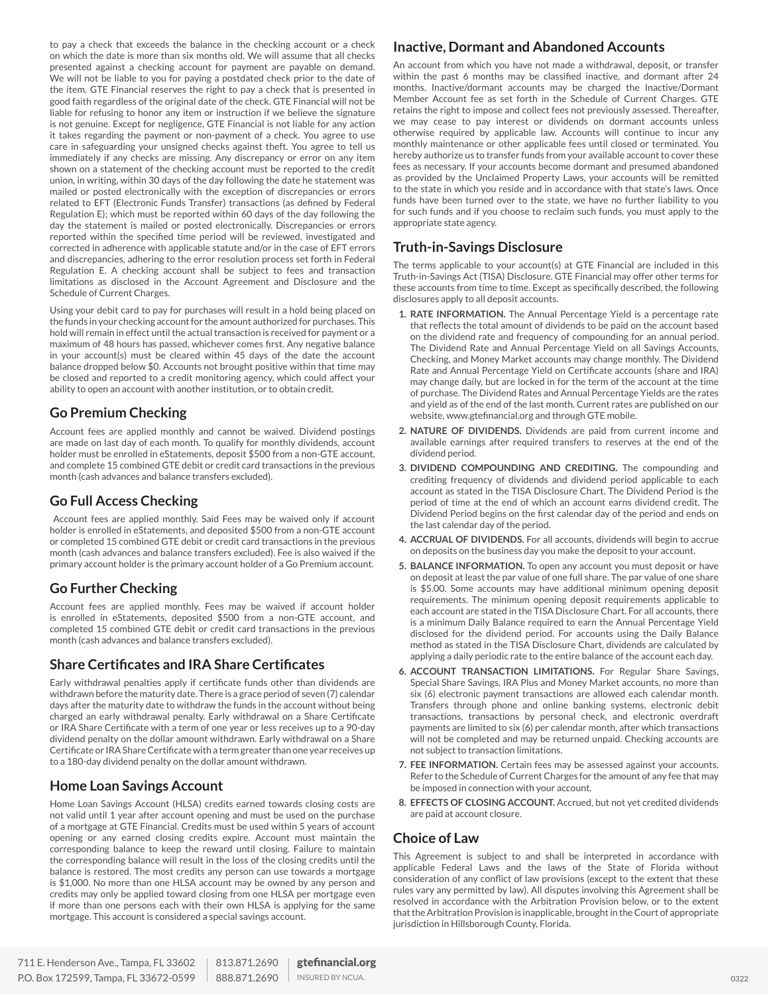to pay a check that exceeds the balance in the checking account or a check on which the date is more than six months old. We will assume that all checks presented against a checking account for payment are payable on demand. We will not be liable to you for paying a postdated check prior to the date of the item. GTE Financial reserves the right to pay a check that is presented in good faith regardless of the original date of the check. GTE Financial will not be liable for refusing to honor any item or instruction if we believe the signature is not genuine. Except for negligence, GTE Financial is not liable for any action it takes regarding the payment or non-payment of a check. You agree to use care in safeguarding your unsigned checks against theft. You agree to tell us immediately if any checks are missing. Any discrepancy or error on any item shown on a statement of the checking account must be reported to the credit union, in writing, within 30 days of the day following the date he statement was mailed or posted electronically with the exception of discrepancies or errors related to EFT (Electronic Funds Transfer) transactions (as defined by Federal Regulation E); which must be reported within 60 days of the day following the day the statement is mailed or posted electronically. Discrepancies or errors reported within the specified time period will be reviewed, investigated and corrected in adherence with applicable statute and/or in the case of EFT errors and discrepancies, adhering to the error resolution process set forth in Federal Regulation E. A checking account shall be subject to fees and transaction limitations as disclosed in the Account Agreement and Disclosure and the Schedule of Current Charges.

Using your debit card to pay for purchases will result in a hold being placed on the funds in your checking account for the amount authorized for purchases. This hold will remain in effect until the actual transaction is received for payment or a maximum of 48 hours has passed, whichever comes first. Any negative balance in your account(s) must be cleared within 45 days of the date the account balance dropped below \$0. Accounts not brought positive within that time may be closed and reported to a credit monitoring agency, which could affect your ability to open an account with another institution, or to obtain credit.

## **Go Premium Checking**

Account fees are applied monthly and cannot be waived. Dividend postings are made on last day of each month. To qualify for monthly dividends, account holder must be enrolled in eStatements, deposit \$500 from a non-GTE account, and complete 15 combined GTE debit or credit card transactions in the previous month (cash advances and balance transfers excluded).

## **Go Full Access Checking**

 Account fees are applied monthly. Said Fees may be waived only if account holder is enrolled in eStatements, and deposited \$500 from a non-GTE account or completed 15 combined GTE debit or credit card transactions in the previous month (cash advances and balance transfers excluded). Fee is also waived if the primary account holder is the primary account holder of a Go Premium account.

## **Go Further Checking**

Account fees are applied monthly. Fees may be waived if account holder is enrolled in eStatements, deposited \$500 from a non-GTE account, and completed 15 combined GTE debit or credit card transactions in the previous month (cash advances and balance transfers excluded).

## **Share Certificates and IRA Share Certificates**

Early withdrawal penalties apply if certificate funds other than dividends are withdrawn before the maturity date. There is a grace period of seven (7) calendar days after the maturity date to withdraw the funds in the account without being charged an early withdrawal penalty. Early withdrawal on a Share Certificate or IRA Share Certificate with a term of one year or less receives up to a 90-day dividend penalty on the dollar amount withdrawn. Early withdrawal on a Share Certificate or IRA Share Certificate with a term greater than one year receives up to a 180-day dividend penalty on the dollar amount withdrawn.

## **Home Loan Savings Account**

Home Loan Savings Account (HLSA) credits earned towards closing costs are not valid until 1 year after account opening and must be used on the purchase of a mortgage at GTE Financial. Credits must be used within 5 years of account opening or any earned closing credits expire. Account must maintain the corresponding balance to keep the reward until closing. Failure to maintain the corresponding balance will result in the loss of the closing credits until the balance is restored. The most credits any person can use towards a mortgage is \$1,000. No more than one HLSA account may be owned by any person and credits may only be applied toward closing from one HLSA per mortgage even if more than one persons each with their own HLSA is applying for the same mortgage. This account is considered a special savings account.

## **Inactive, Dormant and Abandoned Accounts**

An account from which you have not made a withdrawal, deposit, or transfer within the past 6 months may be classified inactive, and dormant after 24 months. Inactive/dormant accounts may be charged the Inactive/Dormant Member Account fee as set forth in the Schedule of Current Charges. GTE retains the right to impose and collect fees not previously assessed. Thereafter, we may cease to pay interest or dividends on dormant accounts unless otherwise required by applicable law. Accounts will continue to incur any monthly maintenance or other applicable fees until closed or terminated. You hereby authorize us to transfer funds from your available account to cover these fees as necessary. If your accounts become dormant and presumed abandoned as provided by the Unclaimed Property Laws, your accounts will be remitted to the state in which you reside and in accordance with that state's laws. Once funds have been turned over to the state, we have no further liability to you for such funds and if you choose to reclaim such funds, you must apply to the appropriate state agency.

## **Truth-in-Savings Disclosure**

The terms applicable to your account(s) at GTE Financial are included in this Truth-in-Savings Act (TISA) Disclosure. GTE Financial may offer other terms for these accounts from time to time. Except as specifically described, the following disclosures apply to all deposit accounts.

- **1. RATE INFORMATION.** The Annual Percentage Yield is a percentage rate that reflects the total amount of dividends to be paid on the account based on the dividend rate and frequency of compounding for an annual period. The Dividend Rate and Annual Percentage Yield on all Savings Accounts, Checking, and Money Market accounts may change monthly. The Dividend Rate and Annual Percentage Yield on Certificate accounts (share and IRA) may change daily, but are locked in for the term of the account at the time of purchase. The Dividend Rates and Annual Percentage Yields are the rates and yield as of the end of the last month. Current rates are published on our website, www.gtefinancial.org and through GTE mobile.
- **2. NATURE OF DIVIDENDS.** Dividends are paid from current income and available earnings after required transfers to reserves at the end of the dividend period.
- **3. DIVIDEND COMPOUNDING AND CREDITING.** The compounding and crediting frequency of dividends and dividend period applicable to each account as stated in the TISA Disclosure Chart. The Dividend Period is the period of time at the end of which an account earns dividend credit. The Dividend Period begins on the first calendar day of the period and ends on the last calendar day of the period.
- **4. ACCRUAL OF DIVIDENDS.** For all accounts, dividends will begin to accrue on deposits on the business day you make the deposit to your account.
- **5. BALANCE INFORMATION.** To open any account you must deposit or have on deposit at least the par value of one full share. The par value of one share is \$5.00. Some accounts may have additional minimum opening deposit requirements. The minimum opening deposit requirements applicable to each account are stated in the TISA Disclosure Chart. For all accounts, there is a minimum Daily Balance required to earn the Annual Percentage Yield disclosed for the dividend period. For accounts using the Daily Balance method as stated in the TISA Disclosure Chart, dividends are calculated by applying a daily periodic rate to the entire balance of the account each day.
- **6. ACCOUNT TRANSACTION LIMITATIONS.** For Regular Share Savings, Special Share Savings, IRA Plus and Money Market accounts, no more than six (6) electronic payment transactions are allowed each calendar month. Transfers through phone and online banking systems, electronic debit transactions, transactions by personal check, and electronic overdraft payments are limited to six (6) per calendar month, after which transactions will not be completed and may be returned unpaid. Checking accounts are not subject to transaction limitations.
- **7. FEE INFORMATION.** Certain fees may be assessed against your accounts. Refer to the Schedule of Current Charges for the amount of any fee that may be imposed in connection with your account.
- **8. EFFECTS OF CLOSING ACCOUNT.** Accrued, but not yet credited dividends are paid at account closure.

## **Choice of Law**

This Agreement is subject to and shall be interpreted in accordance with applicable Federal Laws and the laws of the State of Florida without consideration of any conflict of law provisions (except to the extent that these rules vary any permitted by law). All disputes involving this Agreement shall be resolved in accordance with the Arbitration Provision below, or to the extent that the Arbitration Provision is inapplicable, brought in the Court of appropriate jurisdiction in Hillsborough County, Florida.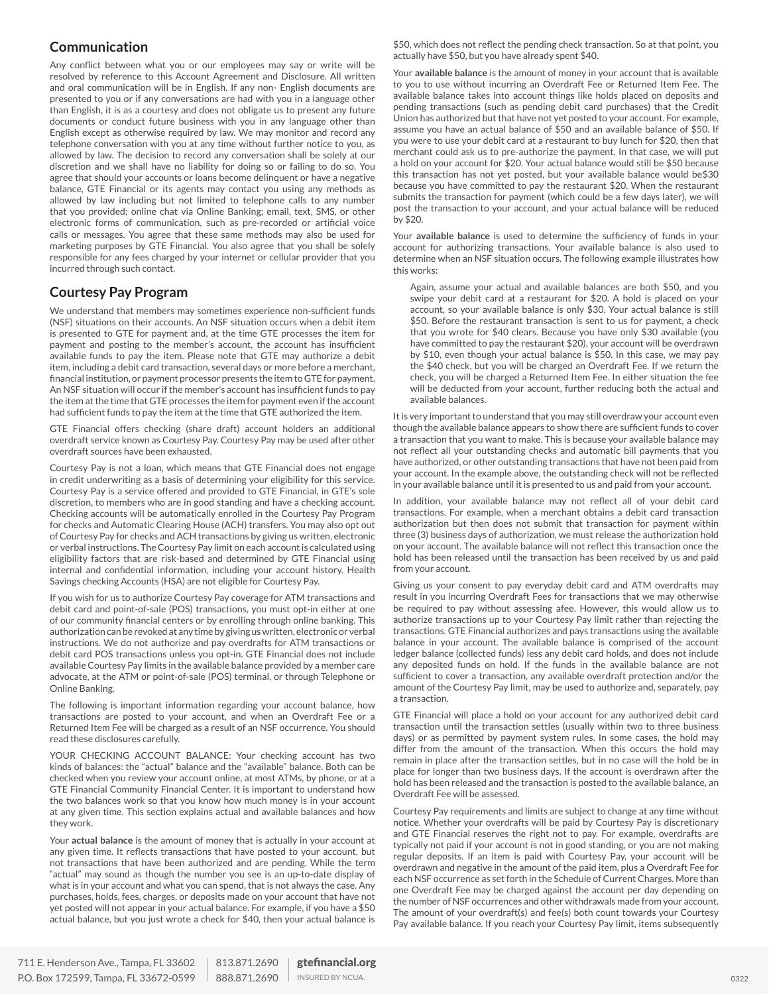## **Communication**

Any conflict between what you or our employees may say or write will be resolved by reference to this Account Agreement and Disclosure. All written and oral communication will be in English. If any non- English documents are presented to you or if any conversations are had with you in a language other than English, it is as a courtesy and does not obligate us to present any future documents or conduct future business with you in any language other than English except as otherwise required by law. We may monitor and record any telephone conversation with you at any time without further notice to you, as allowed by law. The decision to record any conversation shall be solely at our discretion and we shall have no liability for doing so or failing to do so. You agree that should your accounts or loans become delinquent or have a negative balance, GTE Financial or its agents may contact you using any methods as allowed by law including but not limited to telephone calls to any number that you provided; online chat via Online Banking; email, text, SMS, or other electronic forms of communication, such as pre-recorded or artificial voice calls or messages. You agree that these same methods may also be used for marketing purposes by GTE Financial. You also agree that you shall be solely responsible for any fees charged by your internet or cellular provider that you incurred through such contact.

## **Courtesy Pay Program**

We understand that members may sometimes experience non-sufficient funds (NSF) situations on their accounts. An NSF situation occurs when a debit item is presented to GTE for payment and, at the time GTE processes the item for payment and posting to the member's account, the account has insufficient available funds to pay the item. Please note that GTE may authorize a debit item, including a debit card transaction, several days or more before a merchant, financial institution, or payment processor presents the item to GTE for payment. An NSF situation will occur if the member's account has insufficient funds to pay the item at the time that GTE processes the item for payment even if the account had sufficient funds to pay the item at the time that GTE authorized the item.

GTE Financial offers checking (share draft) account holders an additional overdraft service known as Courtesy Pay. Courtesy Pay may be used after other overdraft sources have been exhausted.

Courtesy Pay is not a loan, which means that GTE Financial does not engage in credit underwriting as a basis of determining your eligibility for this service. Courtesy Pay is a service offered and provided to GTE Financial, in GTE's sole discretion, to members who are in good standing and have a checking account. Checking accounts will be automatically enrolled in the Courtesy Pay Program for checks and Automatic Clearing House (ACH) transfers. You may also opt out of Courtesy Pay for checks and ACH transactions by giving us written, electronic or verbal instructions. The Courtesy Pay limit on each account is calculated using eligibility factors that are risk-based and determined by GTE Financial using internal and confidential information, including your account history. Health Savings checking Accounts (HSA) are not eligible for Courtesy Pay.

If you wish for us to authorize Courtesy Pay coverage for ATM transactions and debit card and point-of-sale (POS) transactions, you must opt-in either at one of our community financial centers or by enrolling through online banking. This authorization can be revoked at any time by giving us written, electronic or verbal instructions. We do not authorize and pay overdrafts for ATM transactions or debit card POS transactions unless you opt-in. GTE Financial does not include available Courtesy Pay limits in the available balance provided by a member care advocate, at the ATM or point-of-sale (POS) terminal, or through Telephone or Online Banking.

The following is important information regarding your account balance, how transactions are posted to your account, and when an Overdraft Fee or a Returned Item Fee will be charged as a result of an NSF occurrence. You should read these disclosures carefully.

YOUR CHECKING ACCOUNT BALANCE: Your checking account has two kinds of balances: the "actual" balance and the "available" balance. Both can be checked when you review your account online, at most ATMs, by phone, or at a GTE Financial Community Financial Center. It is important to understand how the two balances work so that you know how much money is in your account at any given time. This section explains actual and available balances and how they work.

Your **actual balance** is the amount of money that is actually in your account at any given time. It reflects transactions that have posted to your account, but not transactions that have been authorized and are pending. While the term "actual" may sound as though the number you see is an up-to-date display of what is in your account and what you can spend, that is not always the case. Any purchases, holds, fees, charges, or deposits made on your account that have not yet posted will not appear in your actual balance. For example, if you have a \$50 actual balance, but you just wrote a check for \$40, then your actual balance is \$50, which does not reflect the pending check transaction. So at that point, you actually have \$50, but you have already spent \$40.

Your **available balance** is the amount of money in your account that is available to you to use without incurring an Overdraft Fee or Returned Item Fee. The available balance takes into account things like holds placed on deposits and pending transactions (such as pending debit card purchases) that the Credit Union has authorized but that have not yet posted to your account. For example, assume you have an actual balance of \$50 and an available balance of \$50. If you were to use your debit card at a restaurant to buy lunch for \$20, then that merchant could ask us to pre-authorize the payment. In that case, we will put a hold on your account for \$20. Your actual balance would still be \$50 because this transaction has not yet posted, but your available balance would be\$30 because you have committed to pay the restaurant \$20. When the restaurant submits the transaction for payment (which could be a few days later), we will post the transaction to your account, and your actual balance will be reduced by \$20.

Your **available balance** is used to determine the sufficiency of funds in your account for authorizing transactions. Your available balance is also used to determine when an NSF situation occurs. The following example illustrates how this works:

Again, assume your actual and available balances are both \$50, and you swipe your debit card at a restaurant for \$20. A hold is placed on your account, so your available balance is only \$30. Your actual balance is still \$50. Before the restaurant transaction is sent to us for payment, a check that you wrote for \$40 clears. Because you have only \$30 available (you have committed to pay the restaurant \$20), your account will be overdrawn by \$10, even though your actual balance is \$50. In this case, we may pay the \$40 check, but you will be charged an Overdraft Fee. If we return the check, you will be charged a Returned Item Fee. In either situation the fee will be deducted from your account, further reducing both the actual and available balances.

It is very important to understand that you may still overdraw your account even though the available balance appears to show there are sufficient funds to cover a transaction that you want to make. This is because your available balance may not reflect all your outstanding checks and automatic bill payments that you have authorized, or other outstanding transactions that have not been paid from your account. In the example above, the outstanding check will not be reflected in your available balance until it is presented to us and paid from your account.

In addition, your available balance may not reflect all of your debit card transactions. For example, when a merchant obtains a debit card transaction authorization but then does not submit that transaction for payment within three (3) business days of authorization, we must release the authorization hold on your account. The available balance will not reflect this transaction once the hold has been released until the transaction has been received by us and paid from your account.

Giving us your consent to pay everyday debit card and ATM overdrafts may result in you incurring Overdraft Fees for transactions that we may otherwise be required to pay without assessing afee. However, this would allow us to authorize transactions up to your Courtesy Pay limit rather than rejecting the transactions. GTE Financial authorizes and pays transactions using the available balance in your account. The available balance is comprised of the account ledger balance (collected funds) less any debit card holds, and does not include any deposited funds on hold. If the funds in the available balance are not sufficient to cover a transaction, any available overdraft protection and/or the amount of the Courtesy Pay limit, may be used to authorize and, separately, pay a transaction.

GTE Financial will place a hold on your account for any authorized debit card transaction until the transaction settles (usually within two to three business days) or as permitted by payment system rules. In some cases, the hold may differ from the amount of the transaction. When this occurs the hold may remain in place after the transaction settles, but in no case will the hold be in place for longer than two business days. If the account is overdrawn after the hold has been released and the transaction is posted to the available balance, an Overdraft Fee will be assessed.

Courtesy Pay requirements and limits are subject to change at any time without notice. Whether your overdrafts will be paid by Courtesy Pay is discretionary and GTE Financial reserves the right not to pay. For example, overdrafts are typically not paid if your account is not in good standing, or you are not making regular deposits. If an item is paid with Courtesy Pay, your account will be overdrawn and negative in the amount of the paid item, plus a Overdraft Fee for each NSF occurrence as set forth in the Schedule of Current Charges. More than one Overdraft Fee may be charged against the account per day depending on the number of NSF occurrences and other withdrawals made from your account. The amount of your overdraft(s) and fee(s) both count towards your Courtesy Pay available balance. If you reach your Courtesy Pay limit, items subsequently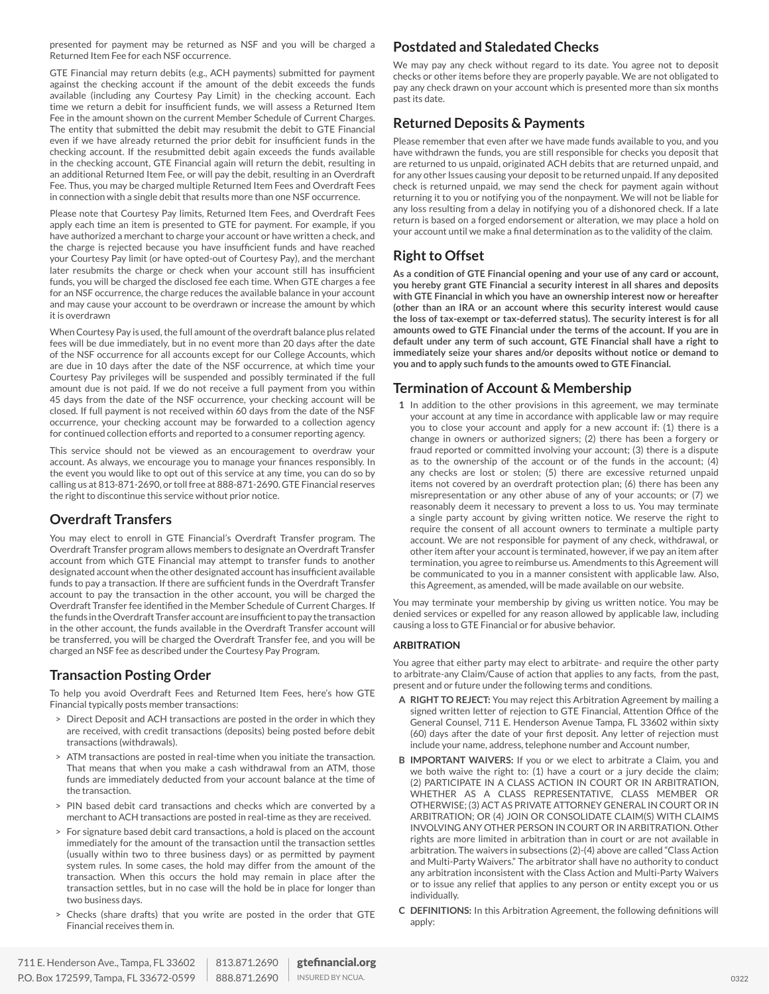presented for payment may be returned as NSF and you will be charged a Returned Item Fee for each NSF occurrence.

GTE Financial may return debits (e.g., ACH payments) submitted for payment against the checking account if the amount of the debit exceeds the funds available (including any Courtesy Pay Limit) in the checking account. Each time we return a debit for insufficient funds, we will assess a Returned Item Fee in the amount shown on the current Member Schedule of Current Charges. The entity that submitted the debit may resubmit the debit to GTE Financial even if we have already returned the prior debit for insufficient funds in the checking account. If the resubmitted debit again exceeds the funds available in the checking account, GTE Financial again will return the debit, resulting in an additional Returned Item Fee, or will pay the debit, resulting in an Overdraft Fee. Thus, you may be charged multiple Returned Item Fees and Overdraft Fees in connection with a single debit that results more than one NSF occurrence.

Please note that Courtesy Pay limits, Returned Item Fees, and Overdraft Fees apply each time an item is presented to GTE for payment. For example, if you have authorized a merchant to charge your account or have written a check, and the charge is rejected because you have insufficient funds and have reached your Courtesy Pay limit (or have opted-out of Courtesy Pay), and the merchant later resubmits the charge or check when your account still has insufficient funds, you will be charged the disclosed fee each time. When GTE charges a fee for an NSF occurrence, the charge reduces the available balance in your account and may cause your account to be overdrawn or increase the amount by which it is overdrawn

When Courtesy Pay is used, the full amount of the overdraft balance plus related fees will be due immediately, but in no event more than 20 days after the date of the NSF occurrence for all accounts except for our College Accounts, which are due in 10 days after the date of the NSF occurrence, at which time your Courtesy Pay privileges will be suspended and possibly terminated if the full amount due is not paid. If we do not receive a full payment from you within 45 days from the date of the NSF occurrence, your checking account will be closed. If full payment is not received within 60 days from the date of the NSF occurrence, your checking account may be forwarded to a collection agency for continued collection efforts and reported to a consumer reporting agency.

This service should not be viewed as an encouragement to overdraw your account. As always, we encourage you to manage your finances responsibly. In the event you would like to opt out of this service at any time, you can do so by calling us at 813-871-2690, or toll free at 888-871-2690. GTE Financial reserves the right to discontinue this service without prior notice.

## **Overdraft Transfers**

You may elect to enroll in GTE Financial's Overdraft Transfer program. The Overdraft Transfer program allows members to designate an Overdraft Transfer account from which GTE Financial may attempt to transfer funds to another designated account when the other designated account has insufficient available funds to pay a transaction. If there are sufficient funds in the Overdraft Transfer account to pay the transaction in the other account, you will be charged the Overdraft Transfer fee identified in the Member Schedule of Current Charges. If the funds in the Overdraft Transfer account are insufficient to pay the transaction in the other account, the funds available in the Overdraft Transfer account will be transferred, you will be charged the Overdraft Transfer fee, and you will be charged an NSF fee as described under the Courtesy Pay Program.

## **Transaction Posting Order**

To help you avoid Overdraft Fees and Returned Item Fees, here's how GTE Financial typically posts member transactions:

- > Direct Deposit and ACH transactions are posted in the order in which they are received, with credit transactions (deposits) being posted before debit transactions (withdrawals).
- > ATM transactions are posted in real-time when you initiate the transaction. That means that when you make a cash withdrawal from an ATM, those funds are immediately deducted from your account balance at the time of the transaction.
- > PIN based debit card transactions and checks which are converted by a merchant to ACH transactions are posted in real-time as they are received.
- > For signature based debit card transactions, a hold is placed on the account immediately for the amount of the transaction until the transaction settles (usually within two to three business days) or as permitted by payment system rules. In some cases, the hold may differ from the amount of the transaction. When this occurs the hold may remain in place after the transaction settles, but in no case will the hold be in place for longer than two business days.
- Checks (share drafts) that you write are posted in the order that GTE Financial receives them in.

## **Postdated and Staledated Checks**

We may pay any check without regard to its date. You agree not to deposit checks or other items before they are properly payable. We are not obligated to pay any check drawn on your account which is presented more than six months past its date.

## **Returned Deposits & Payments**

Please remember that even after we have made funds available to you, and you have withdrawn the funds, you are still responsible for checks you deposit that are returned to us unpaid, originated ACH debits that are returned unpaid, and for any other Issues causing your deposit to be returned unpaid. If any deposited check is returned unpaid, we may send the check for payment again without returning it to you or notifying you of the nonpayment. We will not be liable for any loss resulting from a delay in notifying you of a dishonored check. If a late return is based on a forged endorsement or alteration, we may place a hold on your account until we make a final determination as to the validity of the claim.

## **Right to Offset**

**As a condition of GTE Financial opening and your use of any card or account, you hereby grant GTE Financial a security interest in all shares and deposits with GTE Financial in which you have an ownership interest now or hereafter (other than an IRA or an account where this security interest would cause the loss of tax-exempt or tax-deferred status). The security interest is for all amounts owed to GTE Financial under the terms of the account. If you are in default under any term of such account, GTE Financial shall have a right to immediately seize your shares and/or deposits without notice or demand to you and to apply such funds to the amounts owed to GTE Financial.**

## **Termination of Account & Membership**

**1** In addition to the other provisions in this agreement, we may terminate your account at any time in accordance with applicable law or may require you to close your account and apply for a new account if: (1) there is a change in owners or authorized signers; (2) there has been a forgery or fraud reported or committed involving your account; (3) there is a dispute as to the ownership of the account or of the funds in the account; (4) any checks are lost or stolen; (5) there are excessive returned unpaid items not covered by an overdraft protection plan; (6) there has been any misrepresentation or any other abuse of any of your accounts; or (7) we reasonably deem it necessary to prevent a loss to us. You may terminate a single party account by giving written notice. We reserve the right to require the consent of all account owners to terminate a multiple party account. We are not responsible for payment of any check, withdrawal, or other item after your account is terminated, however, if we pay an item after termination, you agree to reimburse us. Amendments to this Agreement will be communicated to you in a manner consistent with applicable law. Also, this Agreement, as amended, will be made available on our website.

You may terminate your membership by giving us written notice. You may be denied services or expelled for any reason allowed by applicable law, including causing a loss to GTE Financial or for abusive behavior.

## **ARBITRATION**

You agree that either party may elect to arbitrate- and require the other party to arbitrate-any Claim/Cause of action that applies to any facts, from the past, present and or future under the following terms and conditions.

- **A RIGHT TO REJECT:** You may reject this Arbitration Agreement by mailing a signed written letter of rejection to GTE Financial, Attention Office of the General Counsel, 711 E. Henderson Avenue Tampa, FL 33602 within sixty (60) days after the date of your first deposit. Any letter of rejection must include your name, address, telephone number and Account number,
- **B IMPORTANT WAIVERS:** If you or we elect to arbitrate a Claim, you and we both waive the right to: (1) have a court or a jury decide the claim; (2) PARTICIPATE IN A CLASS ACTION IN COURT OR IN ARBITRATION, WHETHER AS A CLASS REPRESENTATIVE, CLASS MEMBER OR OTHERWISE; (3) ACT AS PRIVATE ATTORNEY GENERAL IN COURT OR IN ARBITRATION; OR (4) JOIN OR CONSOLIDATE CLAIM(S) WITH CLAIMS INVOLVING ANY OTHER PERSON IN COURT OR IN ARBITRATION. Other rights are more limited in arbitration than in court or are not available in arbitration. The waivers in subsections (2)-(4) above are called "Class Action and Multi-Party Waivers." The arbitrator shall have no authority to conduct any arbitration inconsistent with the Class Action and Multi-Party Waivers or to issue any relief that applies to any person or entity except you or us individually.
- **C DEFINITIONS:** In this Arbitration Agreement, the following definitions will apply: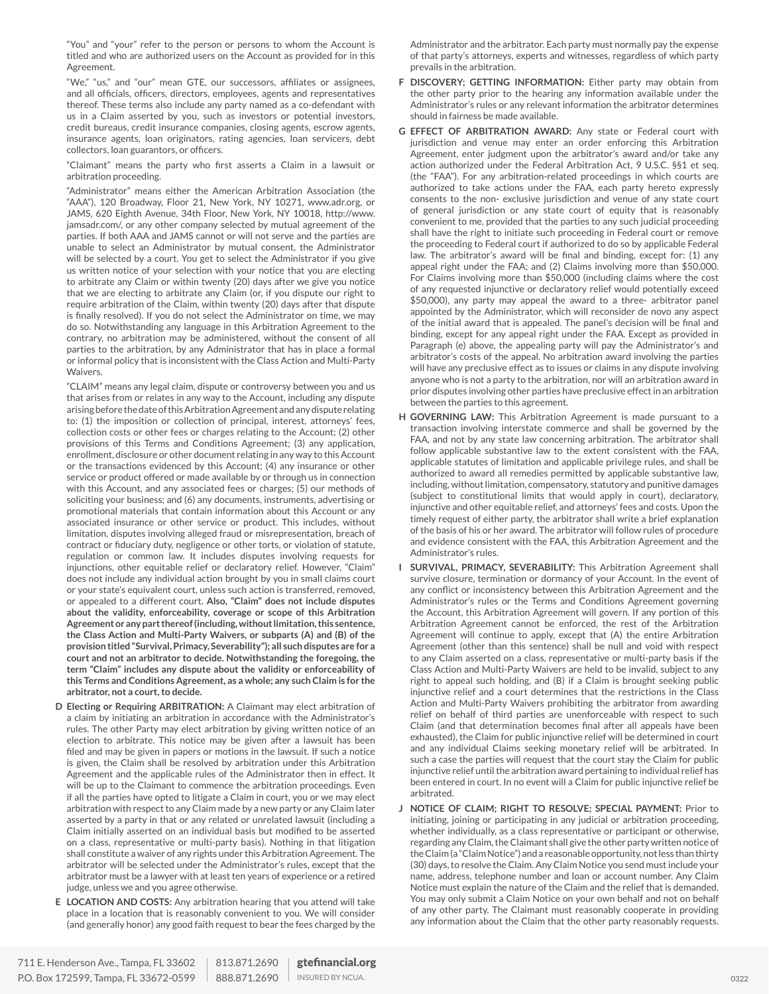"You" and "your" refer to the person or persons to whom the Account is titled and who are authorized users on the Account as provided for in this Agreement.

"We," "us," and "our" mean GTE, our successors, affiliates or assignees, and all officials, officers, directors, employees, agents and representatives thereof. These terms also include any party named as a co-defendant with us in a Claim asserted by you, such as investors or potential investors, credit bureaus, credit insurance companies, closing agents, escrow agents, insurance agents, loan originators, rating agencies, loan servicers, debt collectors, loan guarantors, or officers.

"Claimant" means the party who first asserts a Claim in a lawsuit or arbitration proceeding.

"Administrator" means either the American Arbitration Association (the "AAA"), 120 Broadway, Floor 21, New York, NY 10271, www.adr.org, or JAMS, 620 Eighth Avenue, 34th Floor, New York, NY 10018, http://www. jamsadr.com/, or any other company selected by mutual agreement of the parties. If both AAA and JAMS cannot or will not serve and the parties are unable to select an Administrator by mutual consent, the Administrator will be selected by a court. You get to select the Administrator if you give us written notice of your selection with your notice that you are electing to arbitrate any Claim or within twenty (20) days after we give you notice that we are electing to arbitrate any Claim (or, if you dispute our right to require arbitration of the Claim, within twenty (20) days after that dispute is finally resolved). If you do not select the Administrator on time, we may do so. Notwithstanding any language in this Arbitration Agreement to the contrary, no arbitration may be administered, without the consent of all parties to the arbitration, by any Administrator that has in place a formal or informal policy that is inconsistent with the Class Action and Multi-Party Waivers.

"CLAIM" means any legal claim, dispute or controversy between you and us that arises from or relates in any way to the Account, including any dispute arising before the date of this Arbitration Agreement and any dispute relating to: (1) the imposition or collection of principal, interest, attorneys' fees, collection costs or other fees or charges relating to the Account; (2) other provisions of this Terms and Conditions Agreement; (3) any application, enrollment, disclosure or other document relating in any way to this Account or the transactions evidenced by this Account; (4) any insurance or other service or product offered or made available by or through us in connection with this Account, and any associated fees or charges; (5) our methods of soliciting your business; and (6) any documents, instruments, advertising or promotional materials that contain information about this Account or any associated insurance or other service or product. This includes, without limitation, disputes involving alleged fraud or misrepresentation, breach of contract or fiduciary duty, negligence or other torts, or violation of statute, regulation or common law. It includes disputes involving requests for injunctions, other equitable relief or declaratory relief. However, "Claim" does not include any individual action brought by you in small claims court or your state's equivalent court, unless such action is transferred, removed, or appealed to a different court. **Also, "Claim" does not include disputes about the validity, enforceability, coverage or scope of this Arbitration Agreement or any part thereof (including, without limitation, this sentence, the Class Action and Multi-Party Waivers, or subparts (A) and (B) of the provision titled "Survival, Primacy, Severability"); all such disputes are for a court and not an arbitrator to decide. Notwithstanding the foregoing, the term "Claim" includes any dispute about the validity or enforceability of this Terms and Conditions Agreement, as a whole; any such Claim is for the arbitrator, not a court, to decide.**

- **D Electing or Requiring ARBITRATION:** A Claimant may elect arbitration of a claim by initiating an arbitration in accordance with the Administrator's rules. The other Party may elect arbitration by giving written notice of an election to arbitrate. This notice may be given after a lawsuit has been filed and may be given in papers or motions in the lawsuit. If such a notice is given, the Claim shall be resolved by arbitration under this Arbitration Agreement and the applicable rules of the Administrator then in effect. It will be up to the Claimant to commence the arbitration proceedings. Even if all the parties have opted to litigate a Claim in court, you or we may elect arbitration with respect to any Claim made by a new party or any Claim later asserted by a party in that or any related or unrelated lawsuit (including a Claim initially asserted on an individual basis but modified to be asserted on a class, representative or multi-party basis). Nothing in that litigation shall constitute a waiver of any rights under this Arbitration Agreement. The arbitrator will be selected under the Administrator's rules, except that the arbitrator must be a lawyer with at least ten years of experience or a retired judge, unless we and you agree otherwise.
- **E LOCATION AND COSTS:** Any arbitration hearing that you attend will take place in a location that is reasonably convenient to you. We will consider (and generally honor) any good faith request to bear the fees charged by the
- **F DISCOVERY; GETTING INFORMATION:** Either party may obtain from the other party prior to the hearing any information available under the Administrator's rules or any relevant information the arbitrator determines should in fairness be made available.
- **G EFFECT OF ARBITRATION AWARD:** Any state or Federal court with jurisdiction and venue may enter an order enforcing this Arbitration Agreement, enter judgment upon the arbitrator's award and/or take any action authorized under the Federal Arbitration Act, 9 U.S.C. §§1 et seq. (the "FAA"). For any arbitration-related proceedings in which courts are authorized to take actions under the FAA, each party hereto expressly consents to the non- exclusive jurisdiction and venue of any state court of general jurisdiction or any state court of equity that is reasonably convenient to me, provided that the parties to any such judicial proceeding shall have the right to initiate such proceeding in Federal court or remove the proceeding to Federal court if authorized to do so by applicable Federal law. The arbitrator's award will be final and binding, except for: (1) any appeal right under the FAA; and (2) Claims involving more than \$50,000. For Claims involving more than \$50,000 (including claims where the cost of any requested injunctive or declaratory relief would potentially exceed \$50,000), any party may appeal the award to a three- arbitrator panel appointed by the Administrator, which will reconsider de novo any aspect of the initial award that is appealed. The panel's decision will be final and binding, except for any appeal right under the FAA. Except as provided in Paragraph (e) above, the appealing party will pay the Administrator's and arbitrator's costs of the appeal. No arbitration award involving the parties will have any preclusive effect as to issues or claims in any dispute involving anyone who is not a party to the arbitration, nor will an arbitration award in prior disputes involving other parties have preclusive effect in an arbitration between the parties to this agreement.
- **H GOVERNING LAW:** This Arbitration Agreement is made pursuant to a transaction involving interstate commerce and shall be governed by the FAA, and not by any state law concerning arbitration. The arbitrator shall follow applicable substantive law to the extent consistent with the FAA, applicable statutes of limitation and applicable privilege rules, and shall be authorized to award all remedies permitted by applicable substantive law, including, without limitation, compensatory, statutory and punitive damages (subject to constitutional limits that would apply in court), declaratory, injunctive and other equitable relief, and attorneys' fees and costs. Upon the timely request of either party, the arbitrator shall write a brief explanation of the basis of his or her award. The arbitrator will follow rules of procedure and evidence consistent with the FAA, this Arbitration Agreement and the Administrator's rules.
- **I SURVIVAL, PRIMACY, SEVERABILITY:** This Arbitration Agreement shall survive closure, termination or dormancy of your Account. In the event of any conflict or inconsistency between this Arbitration Agreement and the Administrator's rules or the Terms and Conditions Agreement governing the Account, this Arbitration Agreement will govern. If any portion of this Arbitration Agreement cannot be enforced, the rest of the Arbitration Agreement will continue to apply, except that (A) the entire Arbitration Agreement (other than this sentence) shall be null and void with respect to any Claim asserted on a class, representative or multi-party basis if the Class Action and Multi-Party Waivers are held to be invalid, subject to any right to appeal such holding, and (B) if a Claim is brought seeking public injunctive relief and a court determines that the restrictions in the Class Action and Multi-Party Waivers prohibiting the arbitrator from awarding relief on behalf of third parties are unenforceable with respect to such Claim (and that determination becomes final after all appeals have been exhausted), the Claim for public injunctive relief will be determined in court and any individual Claims seeking monetary relief will be arbitrated. In such a case the parties will request that the court stay the Claim for public injunctive relief until the arbitration award pertaining to individual relief has been entered in court. In no event will a Claim for public injunctive relief be arbitrated.
- **J NOTICE OF CLAIM; RIGHT TO RESOLVE; SPECIAL PAYMENT:** Prior to initiating, joining or participating in any judicial or arbitration proceeding, whether individually, as a class representative or participant or otherwise, regarding any Claim, the Claimant shall give the other party written notice of the Claim (a "Claim Notice") and a reasonable opportunity, not less than thirty (30) days, to resolve the Claim. Any Claim Notice you send must include your name, address, telephone number and loan or account number. Any Claim Notice must explain the nature of the Claim and the relief that is demanded. You may only submit a Claim Notice on your own behalf and not on behalf of any other party. The Claimant must reasonably cooperate in providing any information about the Claim that the other party reasonably requests.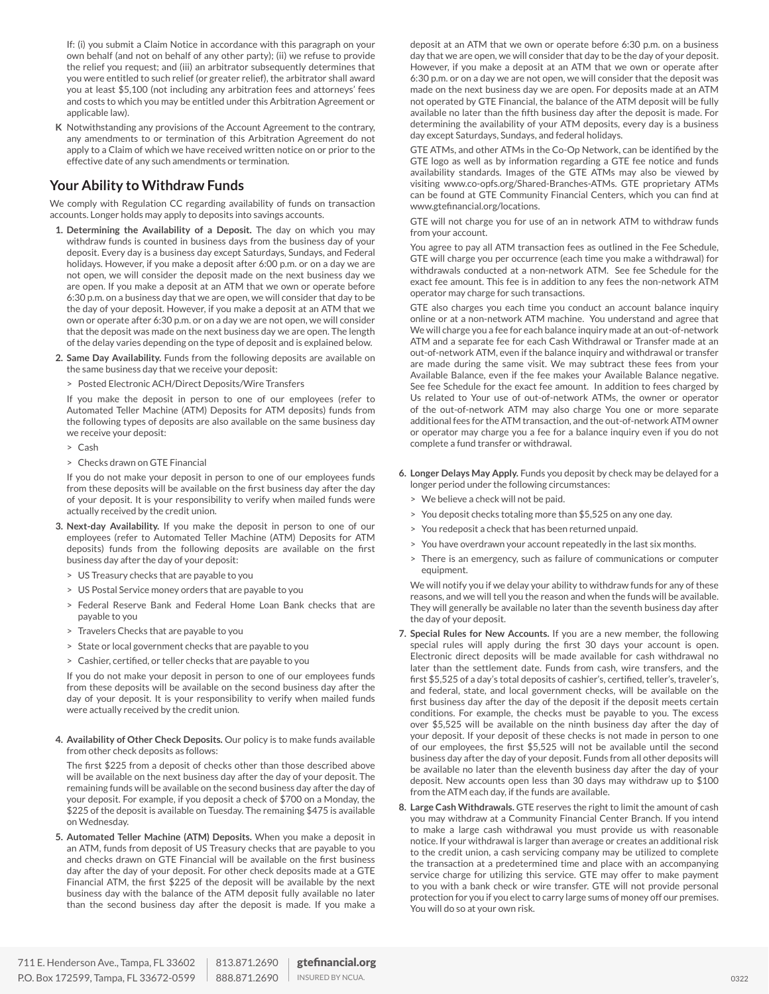If: (i) you submit a Claim Notice in accordance with this paragraph on your own behalf (and not on behalf of any other party); (ii) we refuse to provide the relief you request; and (iii) an arbitrator subsequently determines that you were entitled to such relief (or greater relief), the arbitrator shall award you at least \$5,100 (not including any arbitration fees and attorneys' fees and costs to which you may be entitled under this Arbitration Agreement or applicable law).

**K** Notwithstanding any provisions of the Account Agreement to the contrary, any amendments to or termination of this Arbitration Agreement do not apply to a Claim of which we have received written notice on or prior to the effective date of any such amendments or termination.

## **Your Ability to Withdraw Funds**

We comply with Regulation CC regarding availability of funds on transaction accounts. Longer holds may apply to deposits into savings accounts.

- **1. Determining the Availability of a Deposit.** The day on which you may withdraw funds is counted in business days from the business day of your deposit. Every day is a business day except Saturdays, Sundays, and Federal holidays. However, if you make a deposit after 6:00 p.m. or on a day we are not open, we will consider the deposit made on the next business day we are open. If you make a deposit at an ATM that we own or operate before 6:30 p.m. on a business day that we are open, we will consider that day to be the day of your deposit. However, if you make a deposit at an ATM that we own or operate after 6:30 p.m. or on a day we are not open, we will consider that the deposit was made on the next business day we are open. The length of the delay varies depending on the type of deposit and is explained below.
- **2. Same Day Availability.** Funds from the following deposits are available on the same business day that we receive your deposit:
	- > Posted Electronic ACH/Direct Deposits/Wire Transfers

If you make the deposit in person to one of our employees (refer to Automated Teller Machine (ATM) Deposits for ATM deposits) funds from the following types of deposits are also available on the same business day we receive your deposit:

- > Cash
- > Checks drawn on GTE Financial

If you do not make your deposit in person to one of our employees funds from these deposits will be available on the first business day after the day of your deposit. It is your responsibility to verify when mailed funds were actually received by the credit union.

- **3. Next-day Availability.** If you make the deposit in person to one of our employees (refer to Automated Teller Machine (ATM) Deposits for ATM deposits) funds from the following deposits are available on the first business day after the day of your deposit:
	- > US Treasury checks that are payable to you
	- > US Postal Service money orders that are payable to you
	- > Federal Reserve Bank and Federal Home Loan Bank checks that are payable to you
	- > Travelers Checks that are payable to you
	- > State or local government checks that are payable to you
	- > Cashier, certified, or teller checks that are payable to you

If you do not make your deposit in person to one of our employees funds from these deposits will be available on the second business day after the day of your deposit. It is your responsibility to verify when mailed funds were actually received by the credit union.

**4. Availability of Other Check Deposits.** Our policy is to make funds available from other check deposits as follows:

The first \$225 from a deposit of checks other than those described above will be available on the next business day after the day of your deposit. The remaining funds will be available on the second business day after the day of your deposit. For example, if you deposit a check of \$700 on a Monday, the \$225 of the deposit is available on Tuesday. The remaining \$475 is available on Wednesday.

**5. Automated Teller Machine (ATM) Deposits.** When you make a deposit in an ATM, funds from deposit of US Treasury checks that are payable to you and checks drawn on GTE Financial will be available on the first business day after the day of your deposit. For other check deposits made at a GTE Financial ATM, the first \$225 of the deposit will be available by the next business day with the balance of the ATM deposit fully available no later than the second business day after the deposit is made. If you make a deposit at an ATM that we own or operate before 6:30 p.m. on a business day that we are open, we will consider that day to be the day of your deposit. However, if you make a deposit at an ATM that we own or operate after 6:30 p.m. or on a day we are not open, we will consider that the deposit was made on the next business day we are open. For deposits made at an ATM not operated by GTE Financial, the balance of the ATM deposit will be fully available no later than the fifth business day after the deposit is made. For determining the availability of your ATM deposits, every day is a business day except Saturdays, Sundays, and federal holidays.

GTE ATMs, and other ATMs in the Co-Op Network, can be identified by the GTE logo as well as by information regarding a GTE fee notice and funds availability standards. Images of the GTE ATMs may also be viewed by visiting www.co-opfs.org/Shared-Branches-ATMs. GTE proprietary ATMs can be found at GTE Community Financial Centers, which you can find at www.gtefinancial.org/locations.

GTE will not charge you for use of an in network ATM to withdraw funds from your account.

You agree to pay all ATM transaction fees as outlined in the Fee Schedule, GTE will charge you per occurrence (each time you make a withdrawal) for withdrawals conducted at a non-network ATM. See fee Schedule for the exact fee amount. This fee is in addition to any fees the non-network ATM operator may charge for such transactions.

GTE also charges you each time you conduct an account balance inquiry online or at a non-network ATM machine. You understand and agree that We will charge you a fee for each balance inquiry made at an out-of-network ATM and a separate fee for each Cash Withdrawal or Transfer made at an out-of-network ATM, even if the balance inquiry and withdrawal or transfer are made during the same visit. We may subtract these fees from your Available Balance, even if the fee makes your Available Balance negative. See fee Schedule for the exact fee amount. In addition to fees charged by Us related to Your use of out-of-network ATMs, the owner or operator of the out-of-network ATM may also charge You one or more separate additional fees for the ATM transaction, and the out-of-network ATM owner or operator may charge you a fee for a balance inquiry even if you do not complete a fund transfer or withdrawal.

- **6. Longer Delays May Apply.** Funds you deposit by check may be delayed for a longer period under the following circumstances:
	- > We believe a check will not be paid.
	- > You deposit checks totaling more than \$5,525 on any one day.
	- You redeposit a check that has been returned unpaid.
	- > You have overdrawn your account repeatedly in the last six months.
	- > There is an emergency, such as failure of communications or computer equipment.

We will notify you if we delay your ability to withdraw funds for any of these reasons, and we will tell you the reason and when the funds will be available. They will generally be available no later than the seventh business day after the day of your deposit.

- **7. Special Rules for New Accounts.** If you are a new member, the following special rules will apply during the first 30 days your account is open. Electronic direct deposits will be made available for cash withdrawal no later than the settlement date. Funds from cash, wire transfers, and the first \$5,525 of a day's total deposits of cashier's, certified, teller's, traveler's, and federal, state, and local government checks, will be available on the first business day after the day of the deposit if the deposit meets certain conditions. For example, the checks must be payable to you. The excess over \$5,525 will be available on the ninth business day after the day of your deposit. If your deposit of these checks is not made in person to one of our employees, the first \$5,525 will not be available until the second business day after the day of your deposit. Funds from all other deposits will be available no later than the eleventh business day after the day of your deposit. New accounts open less than 30 days may withdraw up to \$100 from the ATM each day, if the funds are available.
- **8. Large Cash Withdrawals.** GTE reserves the right to limit the amount of cash you may withdraw at a Community Financial Center Branch. If you intend to make a large cash withdrawal you must provide us with reasonable notice. If your withdrawal is larger than average or creates an additional risk to the credit union, a cash servicing company may be utilized to complete the transaction at a predetermined time and place with an accompanying service charge for utilizing this service. GTE may offer to make payment to you with a bank check or wire transfer. GTE will not provide personal protection for you if you elect to carry large sums of money off our premises. You will do so at your own risk.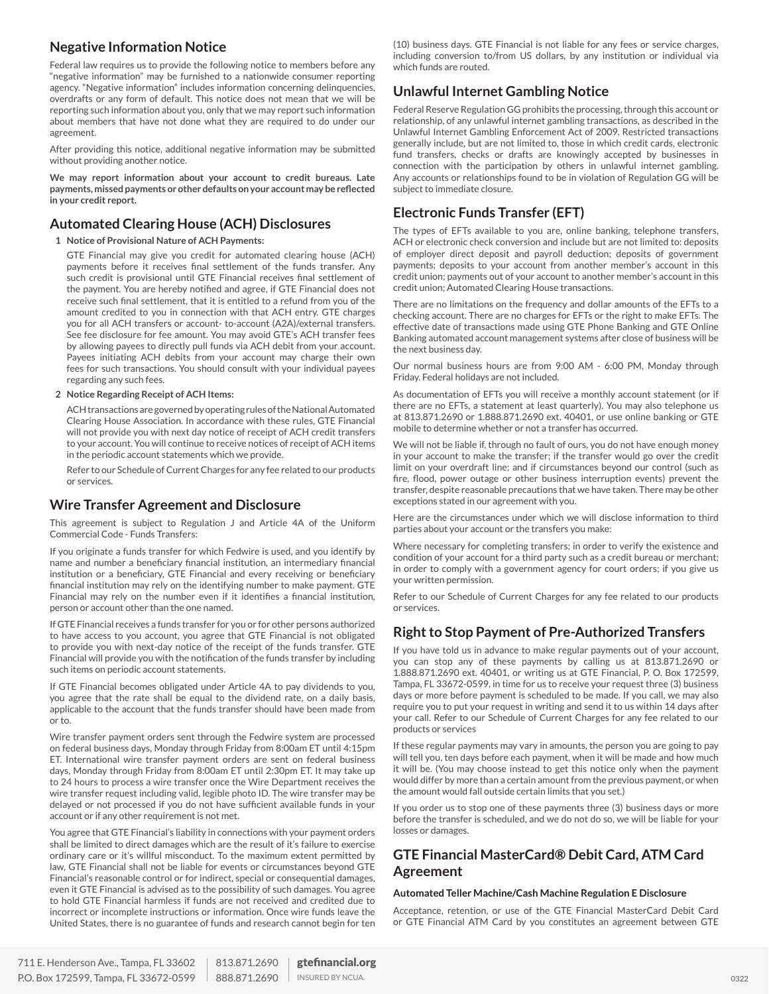## **Negative Information Notice**

Federal law requires us to provide the following notice to members before any "negative information" may be furnished to a nationwide consumer reporting agency. "Negative information" includes information concerning delinquencies, overdrafts or any form of default. This notice does not mean that we will be reporting such information about you, only that we may report such information about members that have not done what they are required to do under our agreement.

After providing this notice, additional negative information may be submitted without providing another notice.

**We may report information about your account to credit bureaus. Late payments, missed payments or other defaults on your account may be reflected in your credit report.**

## **Automated Clearing House (ACH) Disclosures**

**1 Notice of Provisional Nature of ACH Payments:**

GTE Financial may give you credit for automated clearing house (ACH) payments before it receives final settlement of the funds transfer. Any such credit is provisional until GTE Financial receives final settlement of the payment. You are hereby notified and agree, if GTE Financial does not receive such final settlement, that it is entitled to a refund from you of the amount credited to you in connection with that ACH entry. GTE charges you for all ACH transfers or account- to-account (A2A)/external transfers. See fee disclosure for fee amount. You may avoid GTE's ACH transfer fees by allowing payees to directly pull funds via ACH debit from your account. Payees initiating ACH debits from your account may charge their own fees for such transactions. You should consult with your individual payees regarding any such fees.

**2 Notice Regarding Receipt of ACH Items:**

ACH transactions are governed by operating rules of the National Automated Clearing House Association. In accordance with these rules, GTE Financial will not provide you with next day notice of receipt of ACH credit transfers to your account. You will continue to receive notices of receipt of ACH items in the periodic account statements which we provide.

Refer to our Schedule of Current Charges for any fee related to our products or services.

## **Wire Transfer Agreement and Disclosure**

This agreement is subject to Regulation J and Article 4A of the Uniform Commercial Code - Funds Transfers:

If you originate a funds transfer for which Fedwire is used, and you identify by name and number a beneficiary financial institution, an intermediary financial institution or a beneficiary, GTE Financial and every receiving or beneficiary financial institution may rely on the identifying number to make payment. GTE Financial may rely on the number even if it identifies a financial institution, person or account other than the one named.

If GTE Financial receives a funds transfer for you or for other persons authorized to have access to you account, you agree that GTE Financial is not obligated to provide you with next-day notice of the receipt of the funds transfer. GTE Financial will provide you with the notification of the funds transfer by including such items on periodic account statements.

If GTE Financial becomes obligated under Article 4A to pay dividends to you, you agree that the rate shall be equal to the dividend rate, on a daily basis, applicable to the account that the funds transfer should have been made from or to.

Wire transfer payment orders sent through the Fedwire system are processed on federal business days, Monday through Friday from 8:00am ET until 4:15pm ET. International wire transfer payment orders are sent on federal business days, Monday through Friday from 8:00am ET until 2:30pm ET. It may take up to 24 hours to process a wire transfer once the Wire Department receives the wire transfer request including valid, legible photo ID. The wire transfer may be delayed or not processed if you do not have sufficient available funds in your account or if any other requirement is not met.

You agree that GTE Financial's liability in connections with your payment orders shall be limited to direct damages which are the result of it's failure to exercise ordinary care or it's willful misconduct. To the maximum extent permitted by law, GTE Financial shall not be liable for events or circumstances beyond GTE Financial's reasonable control or for indirect, special or consequential damages, even it GTE Financial is advised as to the possibility of such damages. You agree to hold GTE Financial harmless if funds are not received and credited due to incorrect or incomplete instructions or information. Once wire funds leave the United States, there is no guarantee of funds and research cannot begin for ten (10) business days. GTE Financial is not liable for any fees or service charges, including conversion to/from US dollars, by any institution or individual via which funds are routed.

## **Unlawful Internet Gambling Notice**

Federal Reserve Regulation GG prohibits the processing, through this account or relationship, of any unlawful internet gambling transactions, as described in the Unlawful Internet Gambling Enforcement Act of 2009. Restricted transactions generally include, but are not limited to, those in which credit cards, electronic fund transfers, checks or drafts are knowingly accepted by businesses in connection with the participation by others in unlawful internet gambling. Any accounts or relationships found to be in violation of Regulation GG will be subject to immediate closure.

## **Electronic Funds Transfer (EFT)**

The types of EFTs available to you are, online banking, telephone transfers, ACH or electronic check conversion and include but are not limited to: deposits of employer direct deposit and payroll deduction; deposits of government payments; deposits to your account from another member's account in this credit union; payments out of your account to another member's account in this credit union; Automated Clearing House transactions.

There are no limitations on the frequency and dollar amounts of the EFTs to a checking account. There are no charges for EFTs or the right to make EFTs. The effective date of transactions made using GTE Phone Banking and GTE Online Banking automated account management systems after close of business will be the next business day.

Our normal business hours are from 9:00 AM - 6:00 PM, Monday through Friday. Federal holidays are not included.

As documentation of EFTs you will receive a monthly account statement (or if there are no EFTs, a statement at least quarterly). You may also telephone us at 813.871.2690 or 1.888.871.2690 ext. 40401, or use online banking or GTE mobile to determine whether or not a transfer has occurred.

We will not be liable if, through no fault of ours, you do not have enough money in your account to make the transfer; if the transfer would go over the credit limit on your overdraft line; and if circumstances beyond our control (such as fire, flood, power outage or other business interruption events) prevent the transfer, despite reasonable precautions that we have taken. There may be other exceptions stated in our agreement with you.

Here are the circumstances under which we will disclose information to third parties about your account or the transfers you make:

Where necessary for completing transfers; in order to verify the existence and condition of your account for a third party such as a credit bureau or merchant; in order to comply with a government agency for court orders; if you give us your written permission.

Refer to our Schedule of Current Charges for any fee related to our products or services.

## **Right to Stop Payment of Pre-Authorized Transfers**

If you have told us in advance to make regular payments out of your account, you can stop any of these payments by calling us at 813.871.2690 or 1.888.871.2690 ext. 40401, or writing us at GTE Financial, P. O. Box 172599, Tampa, FL 33672-0599, in time for us to receive your request three (3) business days or more before payment is scheduled to be made. If you call, we may also require you to put your request in writing and send it to us within 14 days after your call. Refer to our Schedule of Current Charges for any fee related to our products or services

If these regular payments may vary in amounts, the person you are going to pay will tell you, ten days before each payment, when it will be made and how much it will be. (You may choose instead to get this notice only when the payment would differ by more than a certain amount from the previous payment, or when the amount would fall outside certain limits that you set.)

If you order us to stop one of these payments three (3) business days or more before the transfer is scheduled, and we do not do so, we will be liable for your losses or damages.

## **GTE Financial MasterCard® Debit Card, ATM Card Agreement**

#### **Automated Teller Machine/Cash Machine Regulation E Disclosure**

Acceptance, retention, or use of the GTE Financial MasterCard Debit Card or GTE Financial ATM Card by you constitutes an agreement between GTE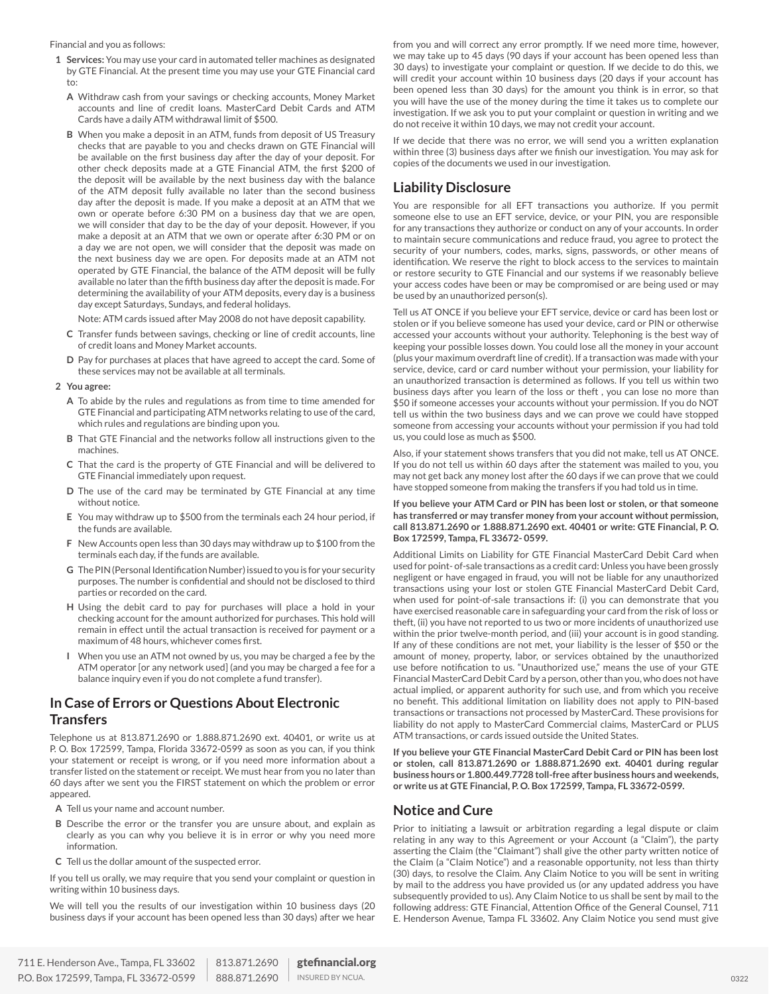Financial and you as follows:

- **1 Services:** You may use your card in automated teller machines as designated by GTE Financial. At the present time you may use your GTE Financial card to:
	- **A** Withdraw cash from your savings or checking accounts, Money Market accounts and line of credit loans. MasterCard Debit Cards and ATM Cards have a daily ATM withdrawal limit of \$500.
	- **B** When you make a deposit in an ATM, funds from deposit of US Treasury checks that are payable to you and checks drawn on GTE Financial will be available on the first business day after the day of your deposit. For other check deposits made at a GTE Financial ATM, the first \$200 of the deposit will be available by the next business day with the balance of the ATM deposit fully available no later than the second business day after the deposit is made. If you make a deposit at an ATM that we own or operate before 6:30 PM on a business day that we are open, we will consider that day to be the day of your deposit. However, if you make a deposit at an ATM that we own or operate after 6:30 PM or on a day we are not open, we will consider that the deposit was made on the next business day we are open. For deposits made at an ATM not operated by GTE Financial, the balance of the ATM deposit will be fully available no later than the fifth business day after the deposit is made. For determining the availability of your ATM deposits, every day is a business day except Saturdays, Sundays, and federal holidays.

Note: ATM cards issued after May 2008 do not have deposit capability.

- **C** Transfer funds between savings, checking or line of credit accounts, line of credit loans and Money Market accounts.
- **D** Pay for purchases at places that have agreed to accept the card. Some of these services may not be available at all terminals.

#### **2 You agree:**

- **A** To abide by the rules and regulations as from time to time amended for GTE Financial and participating ATM networks relating to use of the card, which rules and regulations are binding upon you.
- **B** That GTE Financial and the networks follow all instructions given to the machines.
- **C** That the card is the property of GTE Financial and will be delivered to GTE Financial immediately upon request.
- **D** The use of the card may be terminated by GTE Financial at any time without notice.
- **E** You may withdraw up to \$500 from the terminals each 24 hour period, if the funds are available.
- **F** New Accounts open less than 30 days may withdraw up to \$100 from the terminals each day, if the funds are available.
- **G** The PIN (Personal Identification Number) issued to you is for your security purposes. The number is confidential and should not be disclosed to third parties or recorded on the card.
- **H** Using the debit card to pay for purchases will place a hold in your checking account for the amount authorized for purchases. This hold will remain in effect until the actual transaction is received for payment or a maximum of 48 hours, whichever comes first.
- **I** When you use an ATM not owned by us, you may be charged a fee by the ATM operator [or any network used] (and you may be charged a fee for a balance inquiry even if you do not complete a fund transfer).

## **In Case of Errors or Questions About Electronic Transfers**

Telephone us at 813.871.2690 or 1.888.871.2690 ext. 40401, or write us at P. O. Box 172599, Tampa, Florida 33672-0599 as soon as you can, if you think your statement or receipt is wrong, or if you need more information about a transfer listed on the statement or receipt. We must hear from you no later than 60 days after we sent you the FIRST statement on which the problem or error appeared.

- **A** Tell us your name and account number.
- **B** Describe the error or the transfer you are unsure about, and explain as clearly as you can why you believe it is in error or why you need more information.
- **C** Tell us the dollar amount of the suspected error.

If you tell us orally, we may require that you send your complaint or question in writing within 10 business days.

We will tell you the results of our investigation within 10 business days (20 business days if your account has been opened less than 30 days) after we hear from you and will correct any error promptly. If we need more time, however, we may take up to 45 days (90 days if your account has been opened less than 30 days) to investigate your complaint or question. If we decide to do this, we will credit your account within 10 business days (20 days if your account has been opened less than 30 days) for the amount you think is in error, so that you will have the use of the money during the time it takes us to complete our investigation. If we ask you to put your complaint or question in writing and we do not receive it within 10 days, we may not credit your account.

If we decide that there was no error, we will send you a written explanation within three (3) business days after we finish our investigation. You may ask for copies of the documents we used in our investigation.

## **Liability Disclosure**

You are responsible for all EFT transactions you authorize. If you permit someone else to use an EFT service, device, or your PIN, you are responsible for any transactions they authorize or conduct on any of your accounts. In order to maintain secure communications and reduce fraud, you agree to protect the security of your numbers, codes, marks, signs, passwords, or other means of identification. We reserve the right to block access to the services to maintain or restore security to GTE Financial and our systems if we reasonably believe your access codes have been or may be compromised or are being used or may be used by an unauthorized person(s).

Tell us AT ONCE if you believe your EFT service, device or card has been lost or stolen or if you believe someone has used your device, card or PIN or otherwise accessed your accounts without your authority. Telephoning is the best way of keeping your possible losses down. You could lose all the money in your account (plus your maximum overdraft line of credit). If a transaction was made with your service, device, card or card number without your permission, your liability for an unauthorized transaction is determined as follows. If you tell us within two business days after you learn of the loss or theft , you can lose no more than \$50 if someone accesses your accounts without your permission. If you do NOT tell us within the two business days and we can prove we could have stopped someone from accessing your accounts without your permission if you had told us, you could lose as much as \$500.

Also, if your statement shows transfers that you did not make, tell us AT ONCE. If you do not tell us within 60 days after the statement was mailed to you, you may not get back any money lost after the 60 days if we can prove that we could have stopped someone from making the transfers if you had told us in time.

**If you believe your ATM Card or PIN has been lost or stolen, or that someone has transferred or may transfer money from your account without permission, call 813.871.2690 or 1.888.871.2690 ext. 40401 or write: GTE Financial, P. O. Box 172599, Tampa, FL 33672- 0599.**

Additional Limits on Liability for GTE Financial MasterCard Debit Card when used for point- of-sale transactions as a credit card: Unless you have been grossly negligent or have engaged in fraud, you will not be liable for any unauthorized transactions using your lost or stolen GTE Financial MasterCard Debit Card, when used for point-of-sale transactions if: (i) you can demonstrate that you have exercised reasonable care in safeguarding your card from the risk of loss or theft, (ii) you have not reported to us two or more incidents of unauthorized use within the prior twelve-month period, and (iii) your account is in good standing. If any of these conditions are not met, your liability is the lesser of \$50 or the amount of money, property, labor, or services obtained by the unauthorized use before notification to us. "Unauthorized use," means the use of your GTE Financial MasterCard Debit Card by a person, other than you, who does not have actual implied, or apparent authority for such use, and from which you receive no benefit. This additional limitation on liability does not apply to PIN-based transactions or transactions not processed by MasterCard. These provisions for liability do not apply to MasterCard Commercial claims, MasterCard or PLUS ATM transactions, or cards issued outside the United States.

**If you believe your GTE Financial MasterCard Debit Card or PIN has been lost or stolen, call 813.871.2690 or 1.888.871.2690 ext. 40401 during regular business hours or 1.800.449.7728 toll-free after business hours and weekends, or write us at GTE Financial, P. O. Box 172599, Tampa, FL 33672-0599.**

## **Notice and Cure**

Prior to initiating a lawsuit or arbitration regarding a legal dispute or claim relating in any way to this Agreement or your Account (a "Claim"), the party asserting the Claim (the "Claimant") shall give the other party written notice of the Claim (a "Claim Notice") and a reasonable opportunity, not less than thirty (30) days, to resolve the Claim. Any Claim Notice to you will be sent in writing by mail to the address you have provided us (or any updated address you have subsequently provided to us). Any Claim Notice to us shall be sent by mail to the following address: GTE Financial, Attention Office of the General Counsel, 711 E. Henderson Avenue, Tampa FL 33602. Any Claim Notice you send must give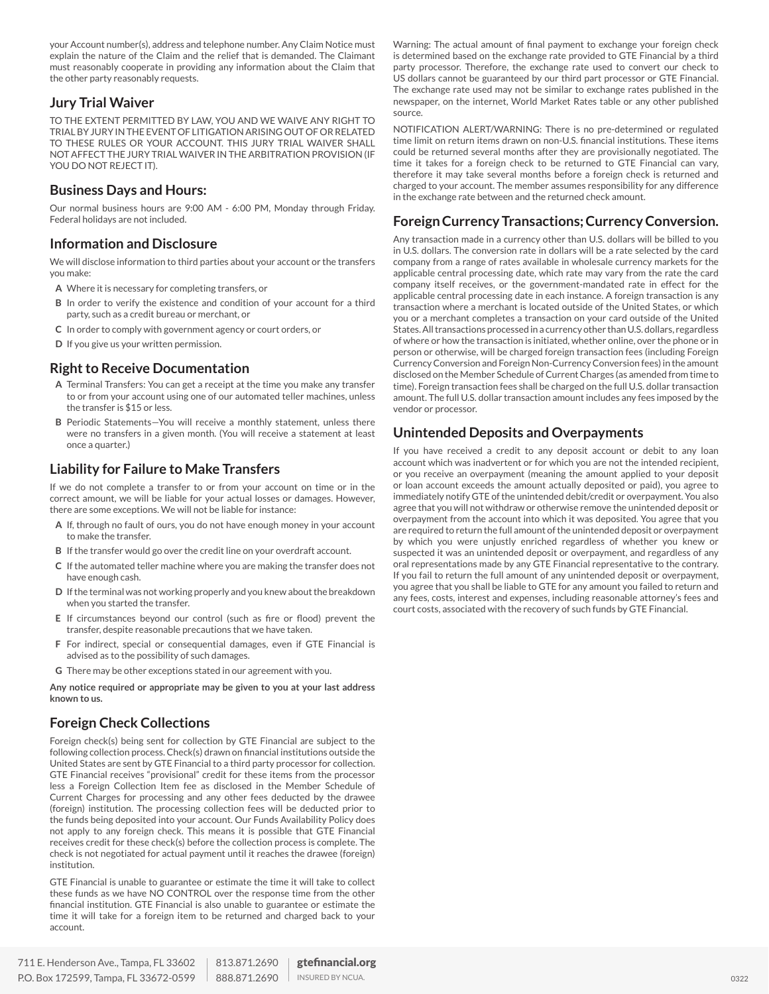your Account number(s), address and telephone number. Any Claim Notice must explain the nature of the Claim and the relief that is demanded. The Claimant must reasonably cooperate in providing any information about the Claim that the other party reasonably requests.

## **Jury Trial Waiver**

TO THE EXTENT PERMITTED BY LAW, YOU AND WE WAIVE ANY RIGHT TO TRIAL BY JURY IN THE EVENT OF LITIGATION ARISING OUT OF OR RELATED TO THESE RULES OR YOUR ACCOUNT. THIS JURY TRIAL WAIVER SHALL NOT AFFECT THE JURY TRIAL WAIVER IN THE ARBITRATION PROVISION (IF YOU DO NOT REJECT IT).

## **Business Days and Hours:**

Our normal business hours are 9:00 AM - 6:00 PM, Monday through Friday. Federal holidays are not included.

## **Information and Disclosure**

We will disclose information to third parties about your account or the transfers you make:

- **A** Where it is necessary for completing transfers, or
- **B** In order to verify the existence and condition of your account for a third party, such as a credit bureau or merchant, or
- **C** In order to comply with government agency or court orders, or
- **D** If you give us your written permission.

## **Right to Receive Documentation**

- **A** Terminal Transfers: You can get a receipt at the time you make any transfer to or from your account using one of our automated teller machines, unless the transfer is \$15 or less.
- **B** Periodic Statements—You will receive a monthly statement, unless there were no transfers in a given month. (You will receive a statement at least once a quarter.)

## **Liability for Failure to Make Transfers**

If we do not complete a transfer to or from your account on time or in the correct amount, we will be liable for your actual losses or damages. However, there are some exceptions. We will not be liable for instance:

- **A** If, through no fault of ours, you do not have enough money in your account to make the transfer.
- **B** If the transfer would go over the credit line on your overdraft account.
- **C** If the automated teller machine where you are making the transfer does not have enough cash.
- **D** If the terminal was not working properly and you knew about the breakdown when you started the transfer.
- **E** If circumstances beyond our control (such as fire or flood) prevent the transfer, despite reasonable precautions that we have taken.
- **F** For indirect, special or consequential damages, even if GTE Financial is advised as to the possibility of such damages.
- **G** There may be other exceptions stated in our agreement with you.

**Any notice required or appropriate may be given to you at your last address known to us.**

## **Foreign Check Collections**

Foreign check(s) being sent for collection by GTE Financial are subject to the following collection process. Check(s) drawn on financial institutions outside the United States are sent by GTE Financial to a third party processor for collection. GTE Financial receives "provisional" credit for these items from the processor less a Foreign Collection Item fee as disclosed in the Member Schedule of Current Charges for processing and any other fees deducted by the drawee (foreign) institution. The processing collection fees will be deducted prior to the funds being deposited into your account. Our Funds Availability Policy does not apply to any foreign check. This means it is possible that GTE Financial receives credit for these check(s) before the collection process is complete. The check is not negotiated for actual payment until it reaches the drawee (foreign) institution.

GTE Financial is unable to guarantee or estimate the time it will take to collect these funds as we have NO CONTROL over the response time from the other financial institution. GTE Financial is also unable to guarantee or estimate the time it will take for a foreign item to be returned and charged back to your account.

Warning: The actual amount of final payment to exchange your foreign check is determined based on the exchange rate provided to GTE Financial by a third party processor. Therefore, the exchange rate used to convert our check to US dollars cannot be guaranteed by our third part processor or GTE Financial. The exchange rate used may not be similar to exchange rates published in the newspaper, on the internet, World Market Rates table or any other published source.

NOTIFICATION ALERT/WARNING: There is no pre-determined or regulated time limit on return items drawn on non-U.S. financial institutions. These items could be returned several months after they are provisionally negotiated. The time it takes for a foreign check to be returned to GTE Financial can vary, therefore it may take several months before a foreign check is returned and charged to your account. The member assumes responsibility for any difference in the exchange rate between and the returned check amount.

## **Foreign Currency Transactions; Currency Conversion.**

Any transaction made in a currency other than U.S. dollars will be billed to you in U.S. dollars. The conversion rate in dollars will be a rate selected by the card company from a range of rates available in wholesale currency markets for the applicable central processing date, which rate may vary from the rate the card company itself receives, or the government-mandated rate in effect for the applicable central processing date in each instance. A foreign transaction is any transaction where a merchant is located outside of the United States, or which you or a merchant completes a transaction on your card outside of the United States. All transactions processed in a currency other than U.S. dollars, regardless of where or how the transaction is initiated, whether online, over the phone or in person or otherwise, will be charged foreign transaction fees (including Foreign Currency Conversion and Foreign Non-Currency Conversion fees) in the amount disclosed on the Member Schedule of Current Charges (as amended from time to time). Foreign transaction fees shall be charged on the full U.S. dollar transaction amount. The full U.S. dollar transaction amount includes any fees imposed by the vendor or processor.

## **Unintended Deposits and Overpayments**

If you have received a credit to any deposit account or debit to any loan account which was inadvertent or for which you are not the intended recipient, or you receive an overpayment (meaning the amount applied to your deposit or loan account exceeds the amount actually deposited or paid), you agree to immediately notify GTE of the unintended debit/credit or overpayment. You also agree that you will not withdraw or otherwise remove the unintended deposit or overpayment from the account into which it was deposited. You agree that you are required to return the full amount of the unintended deposit or overpayment by which you were unjustly enriched regardless of whether you knew or suspected it was an unintended deposit or overpayment, and regardless of any oral representations made by any GTE Financial representative to the contrary. If you fail to return the full amount of any unintended deposit or overpayment, you agree that you shall be liable to GTE for any amount you failed to return and any fees, costs, interest and expenses, including reasonable attorney's fees and court costs, associated with the recovery of such funds by GTE Financial.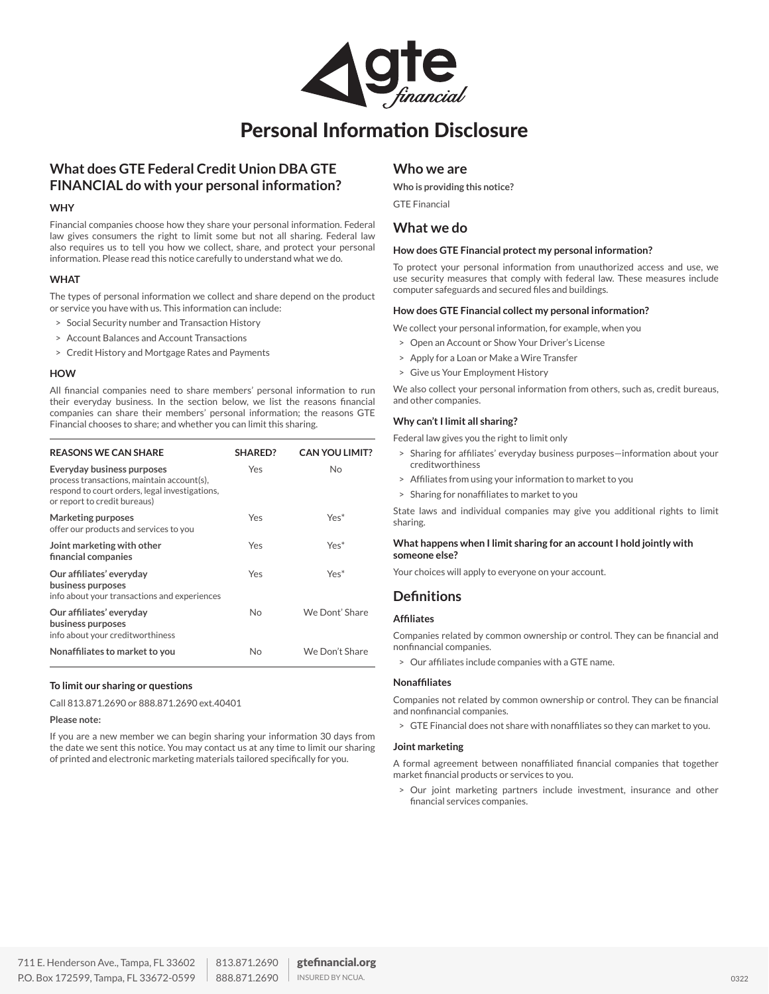

## Personal Information Disclosure

## **What does GTE Federal Credit Union DBA GTE FINANCIAL do with your personal information?**

#### **WHY**

Financial companies choose how they share your personal information. Federal law gives consumers the right to limit some but not all sharing. Federal law also requires us to tell you how we collect, share, and protect your personal information. Please read this notice carefully to understand what we do.

#### **WHAT**

The types of personal information we collect and share depend on the product or service you have with us. This information can include:

- > Social Security number and Transaction History
- > Account Balances and Account Transactions
- > Credit History and Mortgage Rates and Payments

#### **HOW**

All financial companies need to share members' personal information to run their everyday business. In the section below, we list the reasons financial companies can share their members' personal information; the reasons GTE Financial chooses to share; and whether you can limit this sharing.

| <b>REASONS WE CAN SHARE</b>                                                                                                                                | SHARED? | <b>CAN YOU LIMIT?</b> |
|------------------------------------------------------------------------------------------------------------------------------------------------------------|---------|-----------------------|
| Everyday business purposes<br>process transactions, maintain account(s),<br>respond to court orders, legal investigations,<br>or report to credit bureaus) | Yes     | No                    |
| Marketing purposes<br>offer our products and services to you                                                                                               | Yes     | $Yes*$                |
| Joint marketing with other<br>financial companies                                                                                                          | Yes     | $Yes*$                |
| Our affiliates' everyday<br>business purposes<br>info about your transactions and experiences                                                              | Yes     | $Yes*$                |
| Our affiliates' everyday<br>business purposes<br>info about your creditworthiness                                                                          | No      | We Dont' Share        |
| Nonaffiliates to market to you                                                                                                                             | N٥      | We Don't Share        |

#### **To limit our sharing or questions**

Call 813.871.2690 or 888.871.2690 ext.40401

#### **Please note:**

If you are a new member we can begin sharing your information 30 days from the date we sent this notice. You may contact us at any time to limit our sharing of printed and electronic marketing materials tailored specifically for you.

## **Who we are**

**Who is providing this notice?**  GTE Financial

## **What we do**

#### **How does GTE Financial protect my personal information?**

To protect your personal information from unauthorized access and use, we use security measures that comply with federal law. These measures include computer safeguards and secured files and buildings.

#### **How does GTE Financial collect my personal information?**

- We collect your personal information, for example, when you
- > Open an Account or Show Your Driver's License
- > Apply for a Loan or Make a Wire Transfer
- > Give us Your Employment History

We also collect your personal information from others, such as, credit bureaus, and other companies.

#### **Why can't I limit all sharing?**

Federal law gives you the right to limit only

- > Sharing for affiliates' everyday business purposes—information about your creditworthiness
- > Affiliates from using your information to market to you
- > Sharing for nonaffiliates to market to you

State laws and individual companies may give you additional rights to limit sharing.

#### **What happens when I limit sharing for an account I hold jointly with someone else?**

Your choices will apply to everyone on your account.

## **Definitions**

#### **Affiliates**

Companies related by common ownership or control. They can be financial and nonfinancial companies.

> Our affiliates include companies with a GTE name.

#### **Nonaffiliates**

Companies not related by common ownership or control. They can be financial and nonfinancial companies.

> GTE Financial does not share with nonaffiliates so they can market to you.

#### **Joint marketing**

A formal agreement between nonaffiliated financial companies that together market financial products or services to you.

> Our joint marketing partners include investment, insurance and other financial services companies.